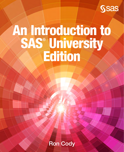

# An Introduction to SAS® University Edition

Ron Cody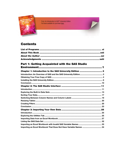From An Introduction to SAS® University Edition.<br>Full book available for purchase here.

## **Contents**

An Introduction to<br>SAS' University<br>Edition

 $\blacktriangleleft$ 

#### Part 1: Getting Acquainted with the SAS Studio **Environmant**

| Chapter 1: Introduction to the SAS University Edition  3 |  |
|----------------------------------------------------------|--|
|                                                          |  |
|                                                          |  |
|                                                          |  |
|                                                          |  |
|                                                          |  |
|                                                          |  |
|                                                          |  |
|                                                          |  |
|                                                          |  |
|                                                          |  |
|                                                          |  |
|                                                          |  |
|                                                          |  |
|                                                          |  |
|                                                          |  |
|                                                          |  |
|                                                          |  |
|                                                          |  |
|                                                          |  |
|                                                          |  |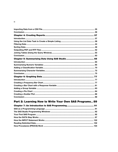## Part 2: Learning How to Write Your Own SAS Programs.. 89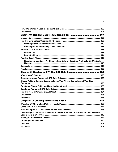| Reading from an Excel Workbook where Column Headings Are Invalid SAS Variable    |  |
|----------------------------------------------------------------------------------|--|
|                                                                                  |  |
|                                                                                  |  |
|                                                                                  |  |
|                                                                                  |  |
|                                                                                  |  |
|                                                                                  |  |
| Shared Folders: Communicating between Your Virtual Computer and Your Real        |  |
|                                                                                  |  |
|                                                                                  |  |
|                                                                                  |  |
|                                                                                  |  |
|                                                                                  |  |
|                                                                                  |  |
|                                                                                  |  |
|                                                                                  |  |
|                                                                                  |  |
| Describing the Difference between a FORMAT Statement in a Procedure and a FORMAT |  |
|                                                                                  |  |
|                                                                                  |  |
|                                                                                  |  |
|                                                                                  |  |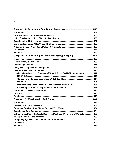${\bf vi}$ 

| Chapter 12: Performing Iterative Processing: Looping  165                       |  |
|---------------------------------------------------------------------------------|--|
|                                                                                 |  |
|                                                                                 |  |
|                                                                                 |  |
|                                                                                 |  |
|                                                                                 |  |
| Leaving a Loop Based on Conditions (DO WHILE and DO UNTIL Statements)  172      |  |
|                                                                                 |  |
|                                                                                 |  |
|                                                                                 |  |
| Demonstrating That a DO UNTIL Loop Executes at Least Once  175                  |  |
|                                                                                 |  |
|                                                                                 |  |
|                                                                                 |  |
|                                                                                 |  |
|                                                                                 |  |
|                                                                                 |  |
|                                                                                 |  |
|                                                                                 |  |
|                                                                                 |  |
| Extracting the Day of the Week, Day of the Month, and Year from a SAS Date  186 |  |
|                                                                                 |  |
|                                                                                 |  |
|                                                                                 |  |
|                                                                                 |  |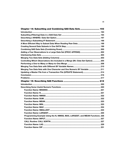| Chapter 14: Subsetting and Combining SAS Data Sets  193                          |     |
|----------------------------------------------------------------------------------|-----|
|                                                                                  |     |
|                                                                                  |     |
|                                                                                  |     |
|                                                                                  |     |
|                                                                                  |     |
|                                                                                  |     |
|                                                                                  |     |
|                                                                                  |     |
|                                                                                  |     |
|                                                                                  |     |
| Controlling Which Observations Are Included in a Merge (IN= Data Set Option) 205 |     |
|                                                                                  |     |
|                                                                                  |     |
| Merging Two Data Sets with One Character and One Numeric BY Variable  211        |     |
| Updating a Master File from a Transaction File (UPDATE Statement) 214            |     |
|                                                                                  |     |
|                                                                                  |     |
|                                                                                  |     |
|                                                                                  |     |
|                                                                                  |     |
|                                                                                  |     |
|                                                                                  |     |
|                                                                                  |     |
|                                                                                  |     |
|                                                                                  |     |
|                                                                                  |     |
|                                                                                  |     |
|                                                                                  |     |
| <b>Function Name: LARGEST</b>                                                    | 225 |
| Programming Example Using the N, NMISS, MAX, LARGEST, and MEAN Functions. 226    |     |
|                                                                                  |     |
|                                                                                  |     |
|                                                                                  |     |
|                                                                                  |     |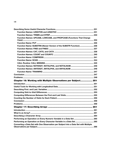| Function Names: UPCASE, LOWCASE, and PROPCASE (Functions That Change   |  |
|------------------------------------------------------------------------|--|
|                                                                        |  |
| Function Name: SUBSTRN (Newer Version of the SUBSTR Function)  236     |  |
|                                                                        |  |
|                                                                        |  |
|                                                                        |  |
|                                                                        |  |
|                                                                        |  |
|                                                                        |  |
|                                                                        |  |
|                                                                        |  |
|                                                                        |  |
|                                                                        |  |
|                                                                        |  |
|                                                                        |  |
| Chapter 16: Working with Multiple Observations per Subject 251         |  |
|                                                                        |  |
|                                                                        |  |
|                                                                        |  |
|                                                                        |  |
|                                                                        |  |
|                                                                        |  |
|                                                                        |  |
|                                                                        |  |
|                                                                        |  |
|                                                                        |  |
|                                                                        |  |
|                                                                        |  |
|                                                                        |  |
| Performing an Operation on Every Character Variable in a Data Set  265 |  |

viii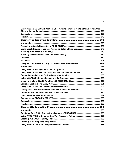| Converting a Data Set with Multiple Observations per Subject into a Data Set with One |  |
|---------------------------------------------------------------------------------------|--|
|                                                                                       |  |
|                                                                                       |  |
|                                                                                       |  |
|                                                                                       |  |
|                                                                                       |  |
|                                                                                       |  |
|                                                                                       |  |
|                                                                                       |  |
|                                                                                       |  |
|                                                                                       |  |
| Chapter 19: Summarizing Data with SAS Procedures  283                                 |  |
|                                                                                       |  |
|                                                                                       |  |
|                                                                                       |  |
|                                                                                       |  |
|                                                                                       |  |
|                                                                                       |  |
|                                                                                       |  |
|                                                                                       |  |
|                                                                                       |  |
|                                                                                       |  |
|                                                                                       |  |
|                                                                                       |  |
|                                                                                       |  |
|                                                                                       |  |
|                                                                                       |  |
|                                                                                       |  |
|                                                                                       |  |
|                                                                                       |  |
|                                                                                       |  |
|                                                                                       |  |
|                                                                                       |  |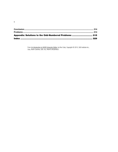| Appendix: Solutions to the Odd-Numbered Problems  315 |  |
|-------------------------------------------------------|--|
|                                                       |  |

**x**

From [An Introduction to SAS® University Edition,](http://www.sas.com/store/prodBK_68380_en.html) by Ron Cody. Copyright © 2015, SAS Institute Inc., Cary, North Carolina, USA. ALL RIGHTS RESERVED.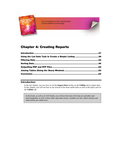From An Introduction to SAS<sup>®</sup> University Edition. Full book available for purchase [here.](http://www.sas.com/store/prodBK_68380_en.html)

## [Chapter 4: Creating Reports](#page-9-1)

| Using the List Data Task to Create a Simple Listing 38 |  |
|--------------------------------------------------------|--|
|                                                        |  |
|                                                        |  |
|                                                        |  |
|                                                        |  |
|                                                        |  |

#### <span id="page-9-0"></span>Introduction

An Introduction to<br>SAS' University Edition

> In the last chapter, you saw how to use the **Import Data** facility on the **Utilities** tab to import data. In this chapter, you will see how to use several of the most useful tasks as well as the Query tool on the **Utilities** tab.

<span id="page-9-1"></span>In this book, as well as in SAS Studio, you will see the terms SAS data set and table used interchangeably as well as these other equivalent terms: variables are also called columns and observations are called rows.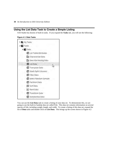#### Using the List Data Task to Create a Simple Listing

SAS Studio has dozens of built-in tasks. If you expand the **Tasks** tab, you will see the following:



#### Figure 4.1: Data Tasks

You can use the **List Data** task to create a listing of your data set. To demonstrate this, we are going to use the built-in Sashelp data set called Fish. This data set contains information on several species of fish, including weight, length, and width. To create a listing of this data set, expand the list of **Data** tasks and double-click on **List Data**. This brings up the screen shown in [Figure 4.2:](#page-11-0)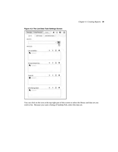| <b>OPTIONS</b><br>DATA | <b>INFORMATION</b> |      |   |       |
|------------------------|--------------------|------|---|-------|
| <b>JDATA</b>           |                    |      |   |       |
|                        |                    |      | ÷ | 鼹     |
| AROLES                 |                    |      |   | لربيه |
| List variables:        |                    | ε    | 而 |       |
| <b>Collinin</b>        |                    |      |   |       |
|                        |                    |      |   |       |
| Group analysis by:     |                    |      | 面 |       |
| <b>Common</b>          |                    |      |   |       |
| Total of:              |                    |      | 而 |       |
| <b>B</b> Country       |                    |      |   |       |
|                        |                    |      |   |       |
| Identifying label:     |                    | 一手一面 |   |       |

<span id="page-11-0"></span>Figure 4.2: The List Data Task Settings Screen

You can click on the icon at the top-right part of this screen to select the library and data set you wish to list. Because you want a listing of Sashelp.Fish, select this data set.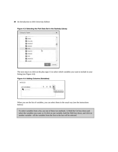#### **40** *An Introduction to SAS University Edition*

| Choose a Table   |        |
|------------------|--------|
| <b>HIFT</b>      |        |
| <b>最 ENSO</b>    |        |
| <b>FAILURE</b>   |        |
| <b>課 FEEDDET</b> |        |
| <b>FREEDER</b>   |        |
| <b>語 FISH</b>    |        |
| <b>ESAUTH</b>    |        |
| FSHEAD           |        |
| ₩ GAS            |        |
| <b>最 GRIDDED</b> |        |
| <b>BEL</b> HEART |        |
|                  | Cancel |
|                  |        |

#### Figure 4.3: Selecting the Fish Data Set in the Sashelp Library

The next step is to click on the plus sign (+) to select which variables you want to include in your listing (see [Figure 4.4\)](#page-12-0):

#### <span id="page-12-0"></span>Figure 4.4: Adding Columns (Variables)

| <b>AROLES</b>   |             |
|-----------------|-------------|
| List variables: |             |
| <b>FOOL</b> IS  |             |
|                 | Add columns |
|                 |             |

When you see the list of variables, you can select them in the usual way (see the instructions below):

To select variables from a list, use one of these two methods: 1) Hold the Ctrl key down and select the variables you want; or 2) click on one variable, hold the Shift key down, and click on another variable—all the variables from the first to the last will be selected.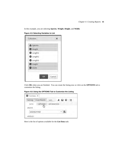In this example, you are selecting **Species**, **Weight**, **Height**, and **Width**.

| A Species                    |  |
|------------------------------|--|
| <b>Weight</b>                |  |
| <b>B</b> Length1             |  |
| <b>B</b> Length <sub>2</sub> |  |
| <b>B</b> Length3             |  |
| <sup>@</sup> Height          |  |
| <b>B</b> Width               |  |

Click **OK** when you are finished. You can create the listing now or click on the **OPTIONS** tab to customize the listing.

Figure 4.6: Using the OPTIONS Tab to Customize the Listing

| Settings <sup>®</sup> | Code/Results   | Split              |  | 大日 园 区 |  |
|-----------------------|----------------|--------------------|--|--------|--|
| DATA<br><b>4 DATA</b> | <b>OPTIONS</b> | <b>INFORMATION</b> |  |        |  |
|                       | SASHELP.FISH   |                    |  | 驛      |  |

Here is the list of options available for the **List Data** task: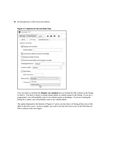#### **42** *An Introduction to SAS University Edition*

<span id="page-14-0"></span>

|  | Figure 4.7: Options for the List Data Task |
|--|--------------------------------------------|
|--|--------------------------------------------|

| <b>INFORMATION</b><br>OPTIONS<br>DATA<br><b>BASIC OPTIONS</b><br>Display row numbers<br>Column label:<br>Use column labels as column headings<br>Display number of rows<br>Round values before summing the variable<br>Heading direction:<br>Default<br>Column width:<br>Default | Settings Code/Results | Split |  | 大日 园 汉 |  |
|----------------------------------------------------------------------------------------------------------------------------------------------------------------------------------------------------------------------------------------------------------------------------------|-----------------------|-------|--|--------|--|
|                                                                                                                                                                                                                                                                                  |                       |       |  |        |  |
|                                                                                                                                                                                                                                                                                  |                       |       |  |        |  |
|                                                                                                                                                                                                                                                                                  |                       |       |  |        |  |
|                                                                                                                                                                                                                                                                                  |                       |       |  |        |  |
|                                                                                                                                                                                                                                                                                  |                       |       |  |        |  |
|                                                                                                                                                                                                                                                                                  | Split labels          |       |  |        |  |
| Split character:                                                                                                                                                                                                                                                                 | Rows to list:         |       |  |        |  |
| All rows                                                                                                                                                                                                                                                                         |                       |       |  |        |  |
| All rows<br>*Amount(i                                                                                                                                                                                                                                                            |                       |       |  |        |  |

You can check or uncheck the **Display row numbers** box to include the Obs column in the listing or omit it. You have a choice of using column labels or column names in the listing. If you are a programmer, you will probably want to see column names as headings—if you are creating the listing for a report, you will probably want to see column labels.

The option displayed at the bottom of [Figure 4.7](#page-14-0) gives you the choice of listing all the rows of the table or the first *n* rows. In this example, you want to see the first seven rows of the Fish data set. This is shown in the next figure: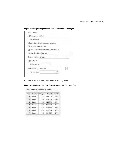|                        | V Display row numbers                    |
|------------------------|------------------------------------------|
| Column label:          |                                          |
|                        | Use column labels as column headings     |
| Display number of rows |                                          |
|                        | Round values before summing the variable |
| Heading direction:     | Default                                  |
| Column width:          | Default                                  |
| Split labels           |                                          |
| Split character;       |                                          |
|                        | First n rows<br>π                        |
| Rows to list:          |                                          |

#### Figure 4.8: Requesting the First Seven Rows to Be Displayed

Clicking on the **Run** icon generates the following listing:

#### Figure 4.9: Listing of the First Seven Rows of the Fish Data Set

#### List Data for SASHELP.FISH

| Obs | <b>Species</b> | Weight | Height  | Width  |
|-----|----------------|--------|---------|--------|
| ٦   | Bream          | 242    | 11.5200 | 4.0200 |
| 2   | Bream          | 290    | 12.4800 | 4,3056 |
| 3   | Bream          | 340    | 12.3778 | 4.6961 |
| а   | <b>Bream</b>   | 363    | 12,7300 | 4,4555 |
| 5   | Bream          | 430    | 12 4440 | 5.1340 |
| ß.  | Bream          | 450    | 13.6024 | 4.9274 |
| 7   | Bream          | 500    | 14.1795 | 5.2785 |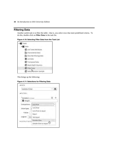#### <span id="page-16-0"></span>Filtering Data

Another useful task is to filter the table—that is, you select rows that meet predefined criteria. To do this, double-click on **Filter Data** in the task list.

Figure 4.10: Selecting Filter Data from the Task List



This brings up the following:

#### Figure 4.11: Selections for Filtering Data

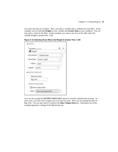You select the data set as before. Next, you select a variable and a condition for your filter. In this example, you are selecting **Weight** as your variable and **Greater than** as your condition. You can now enter a value for the filter. In this example, you want to see rows in the table where the variable Weight is greater than 1,100.

| Variable 1: (1 item)     |                             | 荋 |
|--------------------------|-----------------------------|---|
| <b>Weight</b>            |                             |   |
| Comparison:              | Greater than                |   |
|                          | Value type:   Enter a value |   |
| +Value:                  | 1100                        |   |
| Logical: (none)          |                             |   |
| <b>4 OUTPUT DATA SET</b> |                             |   |
| Data set name:           |                             |   |
| Big_Fish                 |                             |   |
| Show Output Data         |                             |   |
|                          | Show output data            |   |
|                          |                             |   |

Figure 4.12: Selecting Rows Where the Weight Is Greater Than 1,100

You can also expand the **OUTPUT DATA SET** option to override a default data set name. In most cases, you will want to supply your own data set name. Here you are naming the data set Big\_Fish. You can also check or uncheck the **Show Output Data** box. Selecting it (as in this example) generates a listing of the filtered data set: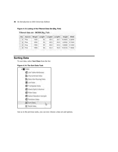#### Figure 4.13: Listing of the Filtered Data Set (Big\_Fish)

| Obs            | <b>Species</b> | Weight | Length1 | Length <sub>2</sub> | Length <sub>3</sub> | Height  | <b>Width</b> |
|----------------|----------------|--------|---------|---------------------|---------------------|---------|--------------|
|                | Pike           | 1250   | 52      | 56.0                | 59.7                | 10.6863 | 6.9849       |
| $\overline{2}$ | Pike           | 1600   | 56      | 60.0                | 84.0                | 9,6000  | 0.1440       |
| 3.             | Pike           | 1550   | 56      | 60.0                | 64.0                | 9.6000  | 6,1440       |
| 4              | Pike           | 1650   | 59      | 63.4                | 88.0                | 10.8120 | 7,4800       |

#### Filtered data set - WORK.Big Fish

#### <span id="page-18-0"></span>Sorting Data

To sort data, select **Sort Data** from the list:

#### Figure 4.14: The Sort Data Task



Just as in the previous tasks, you can now choose a data set and options.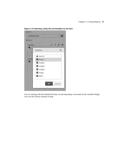

Figure 4.15: Selecting a Data Set and Variables for the Sort

You are starting with the Sashelp.Fish data set and requesting a sort based on the variable Weight. You can also choose columns to drop: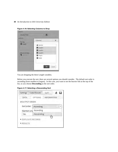| SASHELP.FISH              | 噩                            |        |  |
|---------------------------|------------------------------|--------|--|
| <b>AROLES</b><br>Sort by: | Columns                      |        |  |
| Weight.                   | <b>A</b> Species             |        |  |
|                           | <b>B</b> Length1             |        |  |
|                           | <b>B</b> Length <sub>2</sub> |        |  |
| Columns to drop:          | <b>B</b> Length3             |        |  |
| <b>COLUMN</b>             | <b>B</b> Height<br>Width     |        |  |
|                           | OK                           | Cancel |  |

Figure 4.16: Selecting Columns to Drop

You are dropping the three Length variables.

Before you execute the sort, there are several options you should consider. The default sort order is ascending (from smallest to largest). In this case, you want to see the heavier fish at the top of the list, so you choose **Descending** as the sort order.

Figure 4.17: Selecting a Descending Sort

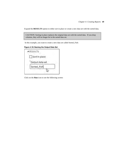Expand the **RESULTS** option to either sort in place or create a new data set with the sorted data.

CAUTION: Sorting in place replaces the original data set with the sorted data. If you drop columns, they will no longer be in the sorted data set.

In this example, you want to create a new data set called Sorted\_Fish:

Figure 4.18: Naming the Output Data Set



Click on the **Run** icon to see the following screen: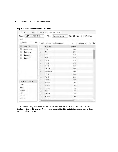| CODE                     | LOG                 |            |                | RESULTS                          | OUTPUT DATA |                                         |        |            |  |   |
|--------------------------|---------------------|------------|----------------|----------------------------------|-------------|-----------------------------------------|--------|------------|--|---|
| Table:                   | WORK.SORTED_FISH ~  |            |                | View:                            |             | Column names ▼ <b>B</b> B S H Y Filter: |        |            |  |   |
| (none)                   |                     |            |                |                                  |             |                                         |        |            |  |   |
| Columns                  |                     | $^{\circ}$ |                | Total rows: 159 Total columns: 4 |             |                                         | NH)    | Rows 1-100 |  |   |
| $\checkmark$             | Select all          |            |                | <b>Species</b>                   |             |                                         | Weight |            |  |   |
| $\checkmark$             | Species             |            | $\frac{1}{2}$  | Pike                             |             |                                         | 1650   |            |  |   |
| V.                       | <sup>2</sup> Weight |            | $\overline{2}$ | Pike                             |             |                                         | 1600   |            |  |   |
| $\overline{\mathcal{L}}$ | <b>B</b> Height     |            | 3              | Pike                             |             |                                         | 1550   |            |  |   |
| $\mathcal{L}$            | <b>2</b> Width      |            | 4              | Pike                             |             |                                         | 1250   |            |  |   |
|                          |                     |            | 5              | Perch                            |             |                                         | 1100   |            |  |   |
|                          |                     |            | 6              | Perch                            |             |                                         | 1100   |            |  |   |
|                          |                     |            | $\overline{7}$ | Perch                            |             |                                         | 1015   |            |  |   |
|                          |                     |            | 8              | Bream                            |             |                                         | 1000   |            |  |   |
|                          |                     |            | 9              | Whitefish                        |             |                                         | 1000   |            |  |   |
|                          |                     |            | 10             | Perch                            |             |                                         | 1000   |            |  |   |
|                          |                     |            | 11             | Perch                            |             |                                         | 1000   |            |  |   |
|                          | Value               |            | 12             | Perch                            |             |                                         | 1000   |            |  |   |
| Property                 |                     |            | 13             | Bream                            |             |                                         | 975    |            |  |   |
| Label                    |                     |            | 14             | Bream                            |             |                                         | 955    |            |  |   |
| Name                     |                     |            | 15             | Bream                            |             |                                         | 950    |            |  |   |
| Length                   |                     |            | 16             | Pike                             |             |                                         | 950    |            |  |   |
| Type                     |                     |            | 17             | Bream                            |             |                                         | 925    |            |  |   |
| Format                   |                     |            | 18             | Bream                            |             |                                         | 920    |            |  |   |
| Informat                 |                     |            | 10             | Dorch                            |             |                                         | nnn    |            |  | ۶ |

Figure 4.19: Result of Executing the Sort

To see a nicer listing of this data set, go back to the **List Data** selection and proceed as you did in the first section of this chapter. Once you have opened the **List Data** task, choose a table to display and any options that you want.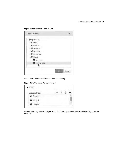Figure 4.20: Choose a Table to List

| Choose a Table        |              |
|-----------------------|--------------|
| ▲ a by Libraries      |              |
| <b>▶ 司 BOOK</b>       |              |
| <b>ト音 MYFMTS</b>      |              |
| ▷ SASHELP             |              |
| <b>D an SASUSER</b>   |              |
| <b>D a WEBWORK</b>    |              |
| ▲ T WORK              |              |
| <b>眼 BIG_FISH</b>     |              |
| <b>BR</b> SORTED_FISH |              |
|                       | Cancel<br>0ø |

Next, choose which variables to include in the listing.

Figure 4.21: Choosing Variables to List

| List variables:                |  |  |
|--------------------------------|--|--|
| Species                        |  |  |
| <sup><sup>®</sup> Weight</sup> |  |  |
| <sup>@</sup> Height            |  |  |

Finally, select any options that you want. In this example, you want to see the first eight rows of the table.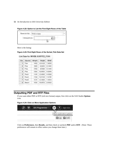#### **52** *An Introduction to SAS University Edition*

| Rows to list: | First n rows |  |
|---------------|--------------|--|
| *Amount (n):  |              |  |
|               |              |  |

Figure 4.22: Option to List the First Eight Rows of the Table

Here is the listing:

#### Figure 4.23: First Eight Rows of the Sorted\_Fish Data Set

| Obs | <b>Species</b> | Weight | Height  | Width  |
|-----|----------------|--------|---------|--------|
| 1   | Pike           | 1650   | 10.8120 | 7,4800 |
| 2   | Pike           | 1600   | 9.6000  | 6,1440 |
| 3   | Pike           | 1550   | 9 6000  | 6.1440 |
| 4   | Pike           | 1250   | 10.6863 | 6,9849 |
| 5   | Perch          | 1100   | 12,8002 | 6.8684 |
| 6   | Perch          | 1100   | 12.5125 | 7,4165 |
| 7   | Perch          | 1015   | 12,3808 | 7.4624 |
| B   | Bream          | 1000   | 18,9570 | 6.6030 |

#### List Data for WORK. SORTED FISH

#### <span id="page-24-0"></span>Outputting PDF and RTF Files

If you want either PDF or RTF (rich text format) output, first click on the SAS Studio **Options** icon.

#### Figure 4.24: Click on More Application Options



Click on **Preferences**, then **Results**, and then check or uncheck **PDF** and/or **RTF**. (Note: These preferences will remain in effect unless you change them later.)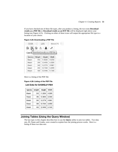If you have checked one of these file types, after you produce a listing, the two icons **Download results as a PDF file** or **Download results as an RTF file** will be displayed right above your listing (see [Figure 4.25\)](#page-25-1). Clicking on either of these icons will output the appropriate file type to a location of your choice.

| CODE              |                              | LOG                            | <b>RESULTS</b> |
|-------------------|------------------------------|--------------------------------|----------------|
| િ                 | $\mathbb{R}$ or $\mathbb{R}$ | ■                              |                |
| List <sub>D</sub> |                              | Download results as a PDF file |                |
| <b>Species</b>    | Weight                       | Height                         | Width          |
| Bream             | 242                          | 11.5200                        | 4.0200         |
| Bream             | 290                          | 12,4800                        | 4.3056         |
|                   |                              |                                |                |
| Bream             | 340                          | 12,3778                        | 4.6961         |
| Bream             | 363                          | 12,7300                        | 4.4555         |

#### <span id="page-25-1"></span>Figure 4.25: Downloading a PDF File

Here is a listing of the PDF file:

#### Figure 4.26: Listing of the PDF File

#### **List Data for SASHELP.FISH**

| <b>Species</b> | Weight | Height  | Width  |
|----------------|--------|---------|--------|
| Bream          | 242    | 11.5200 | 4.0200 |
| Bream          | 290    | 12,4800 | 4.3056 |
| <b>Bream</b>   | 340    | 12.3778 | 4.6961 |
| Bream          | 363    | 12,7300 | 4.4555 |
| Bream          | 430    | 12,4440 | 5.1340 |

#### <span id="page-25-0"></span>Joining Tables (Using the Query Window)

The last topic in this chapter describes how to use the **Query** utility to join two tables. Two data sets, ID\_Name and Grades, were created to explain how the joining process works. Here is a listing of these two data sets: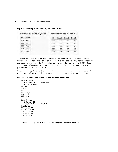#### Figure 4.27: Listing of Data Sets ID\_Name and Grades

|     | List Data for WORK.ID NAME |     | <b>List Data for WORK.GRADES</b> |                    |        |
|-----|----------------------------|-----|----------------------------------|--------------------|--------|
| ID  | Name                       | ID  | Grade 1                          | Grade <sub>2</sub> | Grade3 |
| 001 | Ron                        | 005 | 78                               | 80                 | 82     |
| 002 | Jan                        | 002 | 100                              | 90                 | 95     |
| 003 | Peter                      | 001 | 99                               | 95                 | 98     |
| 004 | Paul                       | 006 | 65                               | 67                 | 69     |
| 005 | Mary                       | 004 | 85                               | 86                 | 84     |

There are several features of these two data sets that are important for you to notice. First, the ID variable in the ID\_Name data set is in order—in the data set Grades, it is not. As you will see, this does not cause a problem—the Query tool automatically sort the data sets. Also, ID 003 is in data set ID\_Name and not in data set Grades; ID 006 is in Grades but not in ID\_Name. The goal is to join these two tables based on the ID column.

If you want to play along with this demonstration, you can run the program shown next to create these two tables (you may need to refer to the programming chapters to see how to do this):

#### Figure 4.28: Program to Create Data Sets ID\_Name and Grades

```
data ID Name;
    informat ID $3. Name $12.; 
    input ID Name; 
datalines; 
001 Ron 
002 Jan 
003 Peter 
004 Paul 
005 Mary 
; 
data Grades; 
    informat ID $3.; 
    input ID Grade1-Grade3; 
datalines; 
005 78 80 82 
002 100 90 95 
001 99 95 98 
006 65 67 69 
004 85 86 84 
;
```
The first step in joining these two tables is to select **Query** from the **Utilities** tab.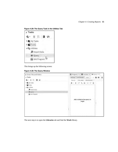Figure 4.29: The Query Task in the Utilities Tab



This brings up the following screen:

Figure 4.30: The Query Window

| Server Files and Folders                                                       | 图 *Program 1 × 图 *List Data × 0 Query 1 ×                       |
|--------------------------------------------------------------------------------|-----------------------------------------------------------------|
| a Tasks                                                                        | ΚN <sub>Σ</sub><br>Code/Results<br>Split<br>b.<br>Settings<br>8 |
| 轮 面 区 图 S                                                                      | <b>COLUMNS</b><br><b>PROPERTIES</b><br>TABLES                   |
| <b>DE</b> My Tasks<br><b>DE</b> Tasks<br>4 % Utilities<br><b>九</b> Import Data | + - 亩 子 毛 竜 註 計 目                                               |
| <b>O Query</b>                                                                 |                                                                 |
| SAS Program                                                                    | Add a table to the query to<br>begin<br>مشمشم شمشم شمشم شمشمشم  |

The next step is to open the **Libraries** tab and find the **Work** library.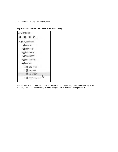

Figure 4.31: Locate the Two Tables in the Work Library

Left-click on each file and drag it into the Query window. (If you drag the second file on top of the first file, SAS Studio automatically assumes that you want to perform a join operation.)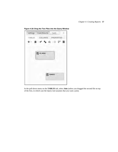

Figure 4.32: Drag the Two Files into the Query Window

In the pull-down menu on the **TABLES** tab, select **Join** (unless you dragged the second file on top of the first, in which case the Query tool assumes that you want a join).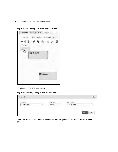|                                    | Settings Code/Results Split |          |   |
|------------------------------------|-----------------------------|----------|---|
| TABLES                             | COLUMNS PROPERTIES          |          |   |
| 十一亩子<br>Table<br>Join <sup>-</sup> |                             | N 命 13 計 | E |
| لربرا                              | <b>ID_NAME</b>              |          |   |
|                                    |                             |          |   |
|                                    |                             |          |   |
|                                    |                             | GRADES   |   |
|                                    |                             |          |   |
|                                    |                             |          |   |

Figure 4.33: Selecting Join in the Pull-down Menu

This brings up the following screen:

Figure 4.34: Getting Ready to Join the Two Tables

| New Join                              |     |                                 |                | $\mathbf{x}$ |
|---------------------------------------|-----|---------------------------------|----------------|--------------|
| Alexander Market Corp.<br>Left table: |     | <b>Processing</b><br>Join type: | Right table:   |              |
| Select a table                        | re- | Inner join<br>$\frac{1}{2}$     | Select a table | ÷            |

Select **ID\_Name** for the **Left table** and **Grades** for the **Right table**. For **Join type**, select **Inner join**.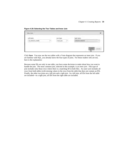| New Join        |               |                                         |                | × |
|-----------------|---------------|-----------------------------------------|----------------|---|
| Left table:     | <b>Silver</b> | Join type:                              | Right table:   |   |
| ID_NAME.ID_NAME | $\pi$         | -<br>Inner join<br>$\frac{1}{2}$<br>o a | GRADES, GRADES | ٠ |

Click **Save**. You now see the two tables with a Venn diagram that represents an inner join. If you are familiar with SQL, you already know the four types of joins. For those readers who are not, here is the explanation:

Because some IDs are only in one table, you have some decisions to make about how you want to handle the join. The most common join, selected in this example, is an *inner join*. This type of join includes only those rows where there is a matching ID in both files. An *outer join* includes all rows from both tables (with missing values in the rows from the table that does not contain an ID). Finally, the other two joins are a *left join* and a *right join*. In a left join, all IDs from the left table are included—in a right join, all IDs from the right table are included.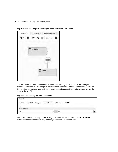| 亩 → →<br>● 日本<br>畐 |
|--------------------|
|                    |
| <b>ID_NAME</b>     |
|                    |
| 1                  |
| <b>GRADES</b><br>睤 |
|                    |

Figure 4.36: Venn Diagram Showing an Inner Join of the Two Tables

The next step is to name the columns that you want to use to join the tables. In this example, because ID is in both tables, the Query tool automatically selects ID for the join variables. You are free to select any variable from each file to construct the join, even if the variable names are not the same in the two files.

|  |  |  |  | <b>Figure 4.37: Selecting the Join Conditions</b> |
|--|--|--|--|---------------------------------------------------|
|--|--|--|--|---------------------------------------------------|

| Order: 1        |                                     |            |            |    |              |                   |        |
|-----------------|-------------------------------------|------------|------------|----|--------------|-------------------|--------|
| Left table:     | <b>CONTRACTOR</b><br><b>ID_NAME</b> | Join type: | Inner join | ļ. | Right table: | <b>GRADES</b>     |        |
|                 | <b>CONTRACT</b>                     |            |            |    |              | <b>CONTRACTOR</b> |        |
| Join conditions |                                     |            |            |    |              |                   |        |
| JD.             |                                     |            |            | Æ  | Ξ<br>ID.     |                   | 하<br>面 |

Next, select which columns you want in the joined table. To do this, click on the **COLUMNS** tab. Select the columns in the usual way, and drag them to the Add columns area.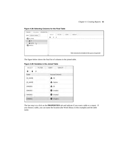Figure 4.38: Selecting Columns for the Final Table

| PROPERTIES<br><b>COLUMNS</b><br>TABLES           |                                                |
|--------------------------------------------------|------------------------------------------------|
| $\overline{\mathbf{v}}$<br>Column names<br>View: | SELECT<br>FILTER<br>GROUP<br>SORT              |
| ▲ R ID_NAME                                      | ÷<br>-8<br>÷                                   |
| A ID                                             |                                                |
| A Name<br>$\mathbb{Z}$                           |                                                |
| D # GRADES                                       |                                                |
|                                                  | Add columns to include in the query (required) |

The figure below shows the final list of columns in the joined table.

Figure 4.39: Variables in the Joined Table

| SELECT        | <b>FILTER</b> | SORT | GROUP               |
|---------------|---------------|------|---------------------|
| $+$ $+$       |               |      |                     |
| Table         |               |      | Source Column       |
| ID_NAME       |               | A ID |                     |
| ID_NAME       |               |      | $\triangle$ Name    |
| GRADES        |               |      | A ID                |
| GRADES        |               |      | <sup>3</sup> Grade1 |
| l<br>GRADES   |               |      | <sup>2</sup> Grade2 |
| <b>GRADES</b> |               |      | Grade3              |

The last step is to click on the **PROPERTIES** tab and indicate if you want a table or a report. If you choose a table, you can name the location (the Work library in this example) and the table name.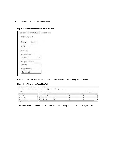| <b>TABLES</b>           | COLUMNS | <b>PROPERTIES</b> |
|-------------------------|---------|-------------------|
| <b>IDENTIFICATION</b>   |         |                   |
| Name:                   | Query 1 |                   |
| Location:               |         |                   |
| <b>ARESULTS</b>         |         |                   |
| Output type:            |         |                   |
| Table                   |         |                   |
| <b>Output location:</b> |         |                   |
| WORK                    |         |                   |
| Output name:            |         |                   |
| Combined                |         |                   |

#### Figure 4.40: Options in the PROPERTIES Tab

Clicking on the **Run** icon finishes the join. A snapshot view of the resulting table is produced.

#### Figure 4.41: View of the Resulting Table

| WORK.COMBINED ~<br>Table: | View:      |          | Column names <b>× B</b> 晶 S 图  | Filter: (none) |        |             |                                |
|---------------------------|------------|----------|--------------------------------|----------------|--------|-------------|--------------------------------|
| Columns                   | $^{\circ}$ |          | Total rows: 4 Total columns: 6 |                |        | dia.<br>144 | Rows 1-4<br>48.7<br><b>HOL</b> |
| Select all                |            | ID       | Name                           | ID2            | Grade1 | Grade2      | Gra                            |
| <b>D</b> A                |            | 005      | Mary                           | 005            | 78     | 80          |                                |
| ■ △ Name                  |            | 002<br>g | Jan                            | 002            | 100    | 90          |                                |
| <b>MA</b> in              | r.         | 001      | Ron                            | 001            | 99     | 95          |                                |

You can use the **List Data** task to create a listing of the resulting table. It is shown in [Figure 4.42:](#page-35-1)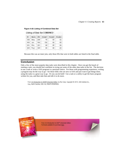#### <span id="page-35-1"></span>Figure 4.42: Listing of Combined Data Set

#### Listing of Data Set COMBINED

| ID  | Name | 1D2 | Grade1 | Grade2 | Grade3 |
|-----|------|-----|--------|--------|--------|
| 005 | Mary | 005 | 78     | 80     | 82     |
| 002 | Jan  | 002 | 100    | 90     | 05     |
| 001 | Ron  | 001 | 99     | 95     | 98     |
| 004 | Paul | 004 | 85     | 86     | 84     |

Because this was an inner join, only those IDs that were in both tables are listed in the final table.

#### <span id="page-35-0"></span>**Conclusion**

Only a few of the more popular data tasks were described in this chapter. Once you get the knack of running a task, you should feel confident in trying out some of the other data tasks in the list. The decision to use a task or write a SAS program is a personal choice. For those with programming experience, writing a program may be the way to go—for those folks who are new to SAS and just want to get things done, using the tasks is a great way to go. Or you can do both! Use a task or a utility to get the basic program written for you, and then take that and edit it to do more.

From [An Introduction to SAS® University Edition,](http://www.sas.com/store/prodBK_68380_en.html) by Ron Cody. Copyright © 2015, SAS Institute Inc., Cary, North Carolina, USA. ALL RIGHTS RESERVED.



From An Introduction to SAS® University Edition. Full book available for purchase [here.](http://www.sas.com/store/prodBK_68380_en.html)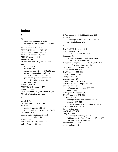## Index

#### A

age computing from date of birth 190 grouping using conditional processing 153–156 AND operator 158–159, 196 ANYALNUM function 246–247 ANYALPHA function 246–247 ANYDIGIT function 246–247 APPEND procedure 202 arguments 156 ARRAY statement 263, 264, 267–268 arrays about 261–263 character 264 converting data sets 266–268, 268–269 performing operations on character variables in data sets 265–266 performing operations on numeric variables in data sets 265 problems 270–271 ascending sort 18 ASSIGNMENT statement 173 @ sign 115, 199 Autocomplete feature (SAS Studio) 93, 94 AUTONAME option 294–295

#### B

backslash  $(\)$  126 Bar Chart task, DATA tab 81–83 bar charts adding formats to 188–189 creating with response variables 81–83 "black box" 106 Boolean logic, using in conditional processing 158–159 brackets 263 built-in data sets (SAS Studio) 13–17 built-in formats 144–145

BY statement 203, 205, 253, 257, 289–290 BY variable computing statistics for values of 288–289 including in listing 279

#### C

CALL MISSING function 245 CALL routines 220 CALL SORTN function 227–229 Carpenter, Art *Carpenter's Complete Guide to the PROC REPORT Procedure 281 Carpenter's Complete Guide to the PROC REPORT Procedure* (Carpenter) 281 case-sensitivity, in variable names 95 CAT function 238–240 CATS function 238–240 CATX function 238–240 Change button 30 character arrays 264 character functions 231–247 character values, DO loops with 170–172 character variables performing operations on 265–266 summarizing 72–75 CHISQ TABLES option 310 CLASS statement 289–290 CLASS variables creating summary data set with 295–297 formatted 297–298 including with MEANS procedure 290–291 classification variables 70–72 CLM function 286 CODE tab 100–101 Cody, Ronald P. *Learning SAS by Example* 119 *SAS Functions by Example, Second Edition* 190 *SAS Statistics by Example* 303 column input 112–114 column pointer 115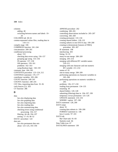columns adding 40 switching between names and labels 19– 20 COLUMNS tab 60–61 comma-separated values files, reading data in 110–111 compile stage 106 COMPRESS function 241–244 concatenation 200–201 conditional processing about 153 checking data errors using 156–157 grouping age using 153–156 IN operator 157–158 OR operators 159–161 problems 162–163 using Boolean logic 158–159 constants, date 184–185 CONTENTS procedure 123–124, 212 CONTINUE statement 176–177 contributor variables 205–206 COUNT function 240–241 COUNTC function 240–241 CSV files, importing data from 35–36 curly braces ({}) 263 CV function 286

#### D

```
data
    See also displaying data
    See also graphing data
    See also importing data
    See also reading data
    See also summarizing data
    checking errors using conditional 
        processing 156–157
    filtering 44–46, 194–197
    sorting 17–19, 46–52
DATA= procedure 124
data sets
    See also permanent data sets
    about 123–125, 193–194
```
APPEND procedure 202 combining 200–201 controlling observations included in 205–207 converting 266–269 creating permanent 133–134 creating shared folders 128–132 creating subsets in one DATA step 199–200 creating to demonstrate features of FREQ procedure 305–307 IF statement 198 interleaving 203 listing 32–33 many-to-one merge 208–209 merging 203–214 merging with different BY variable names 210–211 merging with one character and one numeric BY variable 211–214 names of 95 one-to-many merge 208–209 performing operations on character variables in 265–266 performing operations on numeric variables in 265 problems 136, 217–218 reading from permanent 134–135 renaming 30 shared folders 126–128 subsetting (filtering) data in 194–197, 199 temporary *versus* permanent 125–126 UPDATE statement 214–216 WHERE= option 197–198 DATA statement 128, 200 DATA steps about 91 creating data subsets in 199–200 FORMAT statement in 146 how it works 97–101 DATA tab Bar Chart task 81–83 Statistics task 66 Data Table icon 67 DATALINES statement 138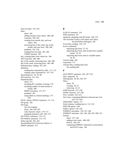data-set-name 125–126 dates about 181 adding formats to bar charts 188–189 constants 184–185 creating from month, day, and year values 184 extracting day of the week, day of the month, and year from 186–188 problems 191–192 reading from text data 181–184 YRDIF function 190 day, creating dates from values for 184 DAY function 186–188 day of the month, extracting from 186–188 day of the week, extracting from 186–188 delimited data, reading 102–103 delimiters reading data separated by other 111–112 reading values separated by 107–110 descending sort 18, 19, 48 DIF function 231, 254 displaying data about 273 including BY variables in listing 279 including number of observations in listing 280 PRINT procedure 273–277 problems 281 using labels as column headings 277– 278 DLM= option, INFILE statement 111–112 DO group 166 DO loops *See also* looping about 166–169, 263 with character values 170–172 graphing equations with 169–170 DO UNTIL statement 174–175 DO WHILE statement 172–174 dollar sign (\$) 102, 264 downloading SAS University Edition 6 DROP statement 213

#### E

ELSE IF statement 154 END statement 167 equations, graphing with DO loops 169–170 *The Essential Guide to SAS Dates and Times, Second Edition* (Morgan) 190 Excel files, reading 116–119 Excel workbooks importing data from 27–32 importing data from with invalid SAS variable names 33–34 importing data from with no variable names 34–35 execute stage 106 expression 172 external files, reading data from *See* reading data

#### F

FILE PRINT statement 185, 207, 253 files, supported 26 filtering data 44–46, 194–197 filters about 20 creating 20–23 removing 22–23 FIND function 237–238 FINDC function 237–238 First. variable 252–253 first visits, computing difference between last visit and 255–256 FIRSTOBS= option 277 fixed columns, reading data in 112–116 FMTLIB option 148 folders, shared 126–128 FORMAT procedure 139, 147–148 FORMAT statement 142, 146, 184, 297–298, 313 formats about 137–144 adding to bar charts 188–189 built-in 144–145 comparing FORMAT statements in procedures and DATA steps 146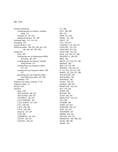formats *(continued)* creating groups for numeric variables using 313 examples of 145–146 making permanent 147–149 formatted input 112, 114–116 formatting 139 forward slash (/) 126 FREQ procedure 104–105, 140, 142–143, 146, 305–307, 307–309 frequencies about 305 creating data sets to demonstrate FREQ procedure 305–307 creating groups for numeric variables using formats 313 creating three-way frequency tables 311–312 creating two-way frequency tables 309– 311 generating one-way frequency tables with FREQ procedure 307–309 problems 314 frequency bar charts, creating 77–81 frequency tables 74 full join 205 functions about 220 ANYALNUM 246–247 ANYALPHA 246–247 ANYDIGIT 246–247 CALL MISSING 245 CALL SORTN 227–229 CAT 238–240 CATS 238–240 CATX 238–240 character 231–247 CLM 286 COMPRESS 241–244 COUNT 240–241 COUNTC 240–241

CV 286 DAY 186–188 DIF 231 FIND 237–238 FINDC 237–238 INPUT 227 LAG 229–231 LARGEST 225, 226–227 LENGTHC 231–233 LENGTHN 231–233 LOWCASE 234–235 MAX 224, 226–227, 286 MAXDEC=*n* 286–287 MDY 184 MEAN 223, 226–227, 286 MEDIAN 286 MIN 223–224, 286 MISSING 156, 185, 221 N 221–222, 226–227, 286 NMISS 222, 226–227, 286 NOTALNUM 246 NOTALPHA 246 NOTDIGIT 246 numeric 220–231 problems 248–250 PROPCASE 234–235 PUT 235–236 RAND 284 ROUND 190 SCAN 244–245 SMALLEST 224–225 STD 286 STDERR 286 STRIP 233–234 SUBSTRN 236–237 SUM 222–223 TRANWRD 247 TRIMN 233–234 UPCASE 234–235 WEEKDAY 186–188, 220 YEAR 186–188 YRDIF 190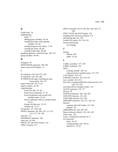#### G

Graph tasks 78 graphing data about 77 adding group variables 83–84 creating bar charts with response variables 81–83 creating frequency bar charts 77–81 creating pie charts 84–86 creating scatter plots 86–88 graphing equations, with DO loops 169–170 group variables 83–84

#### H

histogram 69 HISTOGRAM statement 299, 302 home screen (SAS Studio) 13

#### I

ID statement 139, 274–275, 299 IF statement 154–156, 198 IF-THEN-ELSE logic, checking for data errors using 156–157 Import Data task 26, 27–28 Import window 29–30 importing data from CSV files 35–36 from Excel workbooks 27–32 Excel workbooks with invalid SAS variable names 33–34 Excel workbooks with no variable names 34–35 listing SAS data sets 32–33 Utilities tab 25–27 IN operator 157–158, 196 INFILE statement 96, 108, 110, 111–112, 114, 127, 132, 138 informat 112 INFORMAT statement 109 inner join 59, 206 INPUT CSV tab (SAS Studio) 118 INPUT function 227

INPUT statement 96–97, 98, 102, 108–109, 171, 199 INPUT XLSX tab (SAS Studio) 118 installing SAS University Edition 6–9 interleaving data sets 203 invalid SAS names 95, 118–119 iterative processing *See* looping

#### J

joining defined 203 tables 53–63

#### L

LABEL procedure 277–278 LABEL statement 150 labels creating variable 150–151 using instead of variable names 277–278 LAG function 229–231 LARGEST function 225, 226–227 Last. variable 252–253 last visits, computing difference between first visit and 255–256 *Learning SAS by Example* (Cody) 119 LEAVE statement 176–177 left join 59 LENGTH statement 109, 158, 264 LENGTHC function 231–233 LENGTHN function 231–233 LIBNAME statement 126, 127–128, 147 libraries creating with SAS Studio 127–128 defined 125 LIBRARIES tab 103, 194–195 library-reference (libref) 125–126, 149 Likert scale 139 Linux, virtualization software for 5 List Data task about 32–33 creating listings with 38–43 options for 41–42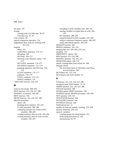list input 107 listings creating with List Data task 38–43 SAS data sets 32–33 LOG window 99 logical comparison operators 154 longitudinal data, tools for working with 251–252 looping about 165 CONTINUE statement 176–177 DO group 166 DO loops 166–172 DO loops with character values 170– 172 DO UNTIL statement 174–175 DO WHILE statement 172–174 graphing equations with DO loop 169– 170 LEAVE statement 176–177 problems 178–179 UNTIL condition 175–176 WHILE condition 174 LOWCASE function 234–235

#### M

many-to-one merge 208–209 MAX function 224, 226–227, 286 MAXDEC=*n* function 286–287 MDY function 184 MEAN function 223, 226–227, 286 MEANS procedure about 146 breaking down statistics 291–292 CLASS statement 289–290 computing statistics for values of BY variables 288–289 creating summary data set with 293–294 creating summary data set with CLASS variables 295–297

including CLASS variables with 290–291 naming variables in output data set with 294– 295 BY statement 289–290 using formatted CLASS variables 297–298 using to customize Summary reports 286–287 using with default options 283–285 MEDIAN function 286 MERGE statement 205, 216 merging data sets 203–205, 210–214 metadata 123 MIDPOINTS= option 302 MIN function 223–224, 286 MISSING function 156, 185, 221 MISSOVER option 108, 110 month, creating dates from values for 184 Morgan, Derek *The Essential Guide to SAS Dates and Times, Second Edition* 190 My Folders tab 133–134 My Libraries tab (SAS Studio) 14

#### N

N function 221–222, 226–227, 286 navigation pane (SAS Studio) 13, 25 NMISS function 222, 226–227, 286 NOCUM statement 308 NOOBS option, PRINT procedure 160 NOPRINT option, MEANS procedure 293–294 NOT operator 158–159 NOTALNUM function 246 NOTALPHA function 246 NOTDIGIT function 246 Notifications box 12 number of visits per patient, counting 256–258 numeric functions 220–231 numeric variables creating groups for using formats 313 performing operations on 265 summarizing 65–70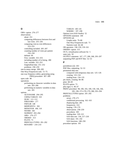#### O

OBS= option 276–277 observations about 251 computing differences between first and last visits 255–256 computing visit-to-visit differences 253–255 controlling included 205–207 counting number of visits per patient 256–258 defined 99 First. variable 252–253 including number of in listing 280 Last. variable 252–253 longitudinal data 251–252 problems 258–259 one-to-many merge 208–209 One-Way Frequencies task 72–75 one-way frequency tables, generating using FREQ procedure 307–309 open code 98 operations performing on character variables in data sets 265–266 performing on numeric variables in data sets 265 options AUTONAME 294–295 CHISQ TABLES 310 DLM= 111–112 FIRSTOBS= 277 FMTLIB 148 MIDPOINTS= 302 MISSOVER 108, 110 NOOBS 160 NOPRINT 293–294 OBS= 276–277 ORDER= 313 PLOTS 73 PRINTALLTYPES 291–292 RENAME= 210–214

TABLES 140–141 WHERE= 197–198 Options icon (SAS Studio) 52 OPTIONS statement 100 OPTIONS tab Graphs tasks 79–80 One-Way Frequencies task 73 Statistics task 66–68 OR operators 158–159, 159–161 ORDER= option 313 OS X, virtualization software for 5 outer join 59 OUTPUT statement 167, 177, 200, 268, 293–297 outputting PDF and RTF files 52–53

#### P

parentheses (()) 263 PDF files, outputting 52–53 permanent data sets compared with temporary data sets 125–126 creating 133–134 reading from 134–135 pie charts, creating 84–86 plots 68–69 PLOTS option 73 plus sign  $(+)$  40, 67 PRINT procedure 98, 100, 103, 109, 139, 146, 160, 185, 196, 273–278, 279, 280, 293–294 PRINTALLTYPES option 291–292 problems arrays 270–271 conditional processing 162–163 displaying data 281 frequencies 314 looping 178–179 observations 258–259 procedures 303 reading data 120–122 SAS data sets 136, 217–218 SAS dates 191–192 SAS functions 248–250 procedure options 105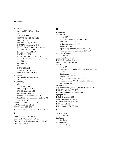procedures *See also* MEANS procedure about 283 APPEND 202 CONTENTS 123–124, 212 DATA= 124 FORMAT 139, 147–148 FORMAT statement in 146 FREQ 104–105, 140, 142–143, 146, 305–307, 307–309 how they work 104–106 LABEL 277–278 PRINT 98, 100, 103, 109, 139, 146, 160, 185, 196, 273–278, 279, 280, 293–294 problems 303 SGPLOT 170 SORT 205, 291 TRANSPOSE 267, 268 UNIVARIATE 298–302 processing *See* conditional processing *See* looping programming about 91 "black box" 106 DATA step 97-101 INPUT statement 102 procedures 104–106 reading delimited data 102–103 SAS Studio programming windows 92 writing 92–97 PROPCASE function 234–235 PROPERTIES tab 61–62 PUT function 235–236 PUT statement 157, 185, 206, 207, 213, 253

#### Q

QQPLOT statement 299, 302 Query task (Utilities tab) 54–55 Query window, joining tables using 53–63 QUIT statement 91

#### R

RAND function 284 reading data about 107 comma-separated values files 110–111 Excel files 116–119 in fixed columns 112–116 problems 120–122 separated by other delimiters 111–112 values separated by delimiters 107–110 reading SAS data sets *See* data sets removing filters 22–23 RENAME= option 210–214 renaming SAS data set 30 reports about 37 creating simple listings with List Data task 38– 43 filtering data 44–46 joining tables 53–63 outputting PDF and RTF files 52–53 producing using PRINT procedure 273–277 sorting data 46–52 resizing tables 20 response variables, creating bar charts with 81–83 RESULTS window 99–100 RETAIN statement 255–256, 269 right join 59 ROUND function 190 rows, combining 200–201 RTF files, outputting 52–53 RUN icon 31, 98 RUN statement 91, 97, 138

#### S

SAS data sets *See* data sets SAS dates *See* dates SAS functions *See* functions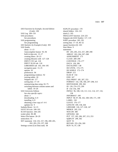*SAS Functions by Example, Second Edition* (Cody) 190 SAS Log 109–110 SAS procedures *See* procedures SAS programming *See* programming *SAS Statistics by Example* (Cody) 303 SAS Studio about 11–13 Autocomplete feature 93, 94 built-in data sets 13–17 creating filters 20–23 creating libraries with 127–128 INPUT CSV tab 118 INPUT XLSX tab 118 LIBRARIES tab 103, 194–195 navigation pane 13, 25 options 93 preferences 94 programming windows 92 resizing tables 20 Snippets tab 117 sorting data 17–19 summarizing data using 65–75 switching between column names and labels 19–20 SAS University Edition *See also specific topics* about 3 downloading 6–9 installing 6–9 obtaining a free copy of 4–6 updates for 9 Sashelp library 14–15 SAVE AS icon 100–101 SCAN function 244–245 scatter plots 86–88 Select File button 28–29 semicolons 91 SET statement 134–135, 157, 196, 200–201, 202, 203, 253, 257, 268 Settings screen (List Data task) 38

SGPLOT procedure 170 shared folders 126–132 slash  $($  $)$  105 SMALLEST function 224–225 Snippets tab (SAS Studio) 117, 119 SORT procedure 205, 291 sorting data 17–19, 46–52 square brackets ([1]) 263 Start Menu 9 statements BY 203, 205, 253, 257, 289–290 ARRAY 263, 264, 267–268 ASSIGNMENT 173 CLASS 289–290 CONTINUE 176–177 DATA 128, 200 DATALINES 138 DO UNTIL 174–175 DO WHILE 172–174 DROP 213 ELSE IF 154 END 167 FILE PRINT 185, 207, 253 FORMAT 142, 146, 184, 297–298, 313 HISTOGRAM 299, 302 ID 139, 274–275, 299 IF 154–156, 198 INFILE 96, 108, 110, 111–112, 114, 127, 132, 138 INFORMAT 109 INPUT 96–97, 98, 102, 108–109, 171, 199 LABEL 150 LEAVE 176–177 LENGTH 109, 158, 264 LIBNAME 126, 127–128, 147 MERGE 205, 216 NOCUM 308 OPTIONS 100 PUT 157, 185, 206, 207, 213, 253 QQPLOT 299, 302 QUIT 91 RETAIN 255–256, 269 RUN 91, 97, 138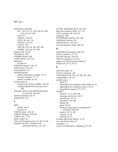Statements *(continued)* SET 134–135, 157, 196, 200–201, 202, 203, 253, 257, 268 SUM 257 TABLES 104–105 TITLE 98, 149, 274 UPDATE 214–216 VALUE 140 VAR 98, 274–276, 285, 287, 299 WHERE 195–196, 197–198 Statistics task 65–66 STD function 286 STDERR function 286 STRIP function 233–234 subsetting *See* data set SUBSTRN function 236–237 SUM function 222–223 SUM statement 257 summarizing data adding classification variables 70–72 character variables 72–75 numeric variables 65–70 summary data set creating with CLASS variables 295–297 creating with MEANS procedure 293– 294 Summary reports, using MEANS procedure to customize 286–287 Summary Statistics task 67 supported files 26

#### T

tables joining 53–63 resizing 20 TABLES option 140–141 TABLES statement 104–105 TABLES tab 57–58 tabular output 69 Tasks tab (Navigation pane) 25, 38, 78, 104 temporary data sets, compared with permanent data sets 125–126

text data, reading dates from 181–184 three-way frequency tables 311–312 TITLE statement 98, 149, 274 trailing @ 199 TRANSPOSE procedure 267, 268 TRANWRD function 247 TRIMN function 233–234 two-way frequency tables 309–311

#### U

UNIVARIATE procedure 298–302 UNTIL condition 175–176 UPCASE function 234–235 UPDATE statement 214–216 updates, for SAS University Edition 9 Utilities tab 25–27, 54–55

#### V

valid SAS names 95 VALUE statements 140 VAR statement 98, 274–276, 285, 287, 299 variable labels 150–151 variable names about 95 importing Excel workbooks with invalid 33–34 importing Excel workbooks with no 34–35 using labels instead of 277–278 variables character 72–75, 265–266 choosing which to list 50–52 classification 70–72 contributor 205–206 defined 99 group 83–84 naming in output data set with MEANS procedure 294–295 numeric 65–70, 265 response 81–83 selecting 40, 73 Variables pane (SAS Studio) 15–16 View tab (SAS Studio) 19 VirtualBox 11 visit-to-visit differences, computing 253–255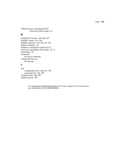VMWare Player, downloading SAS University Edition using 6–9

#### W

WEEKDAY function 186–188, 220 WHERE= option 197–198 WHERE statement 195–196, 197–198 WHILE condition 174 Windows, virtualization software for 5 work area, expanding in SAS Studio 16–17 Work library 31 workbooks *See* Excel workbooks writing SAS data sets *See* data sets

#### Y

year creating dates from values for 184 extracting from 186–188 YEAR function 186–188 YRDIF function 190

> From [An Introduction to SAS® University Edition](http://www.sas.com/store/prodBK_68380_en.html), by Ron Cody. Copyright © 2015, SAS Institute Inc., Cary, North Carolina, USA. ALL RIGHTS RESERVED.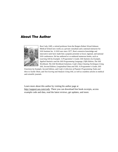### About The Author



Ron Cody, EdD, a retired professor from the Rutgers Robert Wood Johnson Medical School now works as a private consultant and a national instructor for SAS Institute Inc. A SAS user since 1977, Ron's extensive knowledge and innovative style have made him a popular presenter at local, regional, and national SAS conferences. He has authored or co-authored numerous books, such as *Learning SAS by Example: A Programmer's Guide*; *SAS Statistics by Example, Applied Statistics and the SAS Programming Language, Fifth Edition*; *The SAS Workbook*; *The SAS Workbook Solutions*; *Cody's Data Cleaning Techniques Using SAS, Second Edition*; *Longitudinal Data and SAS: A Programmer's Guide*; *SAS* 

*Functions by Example, Second Edition*, and *Cody's Collection of Popular Programming Tasks and How to Tackle Them*, and *Test Scoring and Analysis Using SAS,* as well as countless articles in medical and scientific journals.

Learn more about this author by visiting his author page at [http://support.sas.com/cody. There y](http://support.sas.com/authors/cody)ou can download free book excerpts, access example code and data, read the latest reviews, get updates, and more.